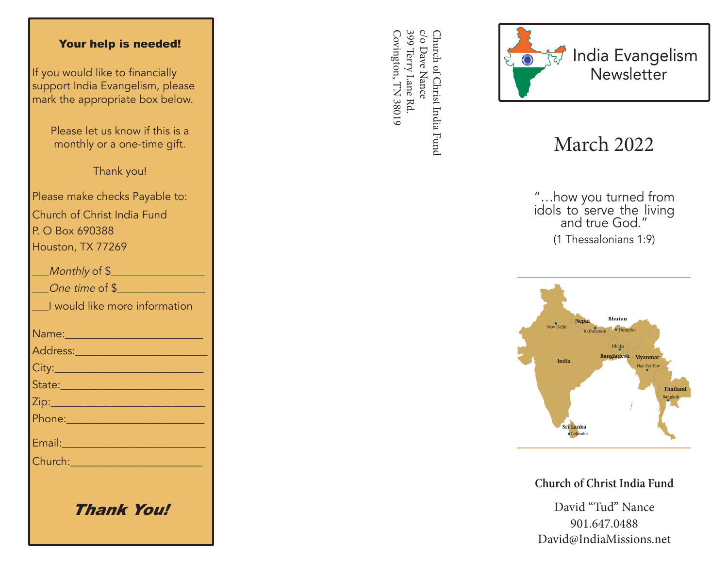## Your help is needed!

If you would like to financially support India Evangelism, please mark the appropriate box below.

> Please let us know if this is a monthly or a one-time gift.

> > Thank you!

Please make checks Payable to: Church of Christ India Fund P. O Box 690388 Houston, TX 77269

| Monthly of \$                                                                                                                                                                                                                        |
|--------------------------------------------------------------------------------------------------------------------------------------------------------------------------------------------------------------------------------------|
| One time of \$                                                                                                                                                                                                                       |
| I would like more information                                                                                                                                                                                                        |
|                                                                                                                                                                                                                                      |
| <u>Address: ________________________</u>                                                                                                                                                                                             |
|                                                                                                                                                                                                                                      |
| State: 2008 - 2008 - 2010 - 2010 - 2011 - 2012 - 2012 - 2012 - 2014 - 2012 - 2014 - 2014 - 2014 - 2014 - 2014                                                                                                                        |
|                                                                                                                                                                                                                                      |
|                                                                                                                                                                                                                                      |
| Email: 2008 - 2008 - 2014 - 2014 - 2014 - 2014 - 2014 - 2014 - 2014 - 2014 - 2014 - 2014 - 2014 - 2014 - 2014                                                                                                                        |
| Church: <u>Church Barbara and Barbara and Barbara and Barbara and Barbara and Barbara and Barbara and Barbara and Barbara and Barbara and Barbara and Barbara and Barbara and Barbara and Barbara and Barbara and Barbara and Ba</u> |
|                                                                                                                                                                                                                                      |
|                                                                                                                                                                                                                                      |

Thank You!

399 Terry Lane Rd c/o Dave Nance Covington, TN 38019 Covington, TN 38019 399 Terry Lane Rd. c/o Dave Nance Church of Christ India Fund Church of Christ India Fund



## March 2022

"…how you turned from idols to serve the living and true God." (1 Thessalonians 1:9)



**Church of Christ India Fund**

David "Tud" Nance 901.647.0488 David@IndiaMissions.net